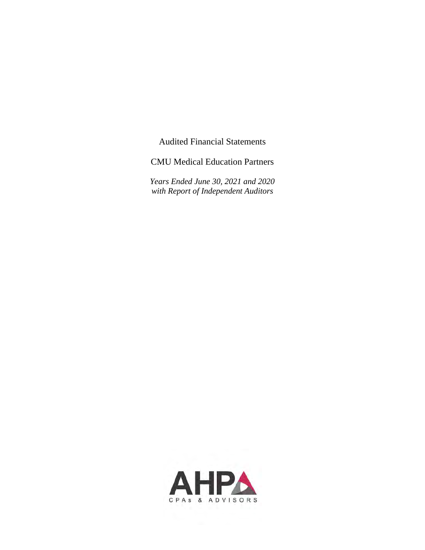Audited Financial Statements

CMU Medical Education Partners

*Years Ended June 30, 2021 and 2020 with Report of Independent Auditors*

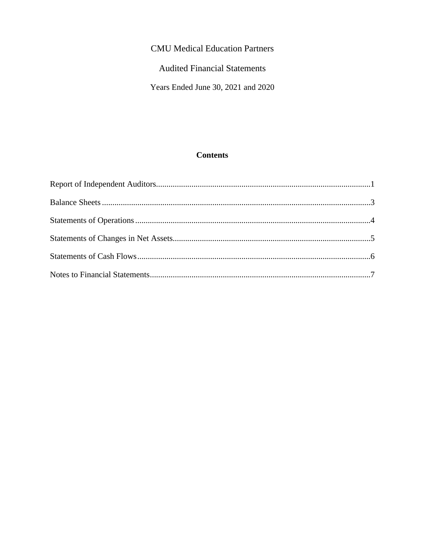**Audited Financial Statements** 

Years Ended June 30, 2021 and 2020

### **Contents**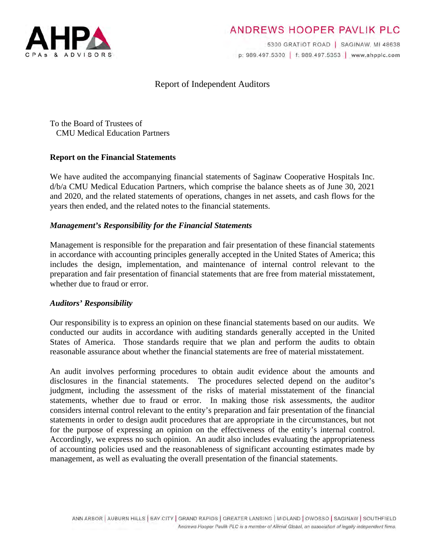

## ANDREWS HOOPER PAVLIK PLC

5300 GRATIOT ROAD | SAGINAW, MI 48638 p: 989.497.5300 | f: 989.497.5353 | www.ahpplc.com

### Report of Independent Auditors

To the Board of Trustees of CMU Medical Education Partners

### **Report on the Financial Statements**

We have audited the accompanying financial statements of Saginaw Cooperative Hospitals Inc. d/b/a CMU Medical Education Partners, which comprise the balance sheets as of June 30, 2021 and 2020, and the related statements of operations, changes in net assets, and cash flows for the years then ended, and the related notes to the financial statements.

### *Management's Responsibility for the Financial Statements*

Management is responsible for the preparation and fair presentation of these financial statements in accordance with accounting principles generally accepted in the United States of America; this includes the design, implementation, and maintenance of internal control relevant to the preparation and fair presentation of financial statements that are free from material misstatement, whether due to fraud or error.

### *Auditors' Responsibility*

Our responsibility is to express an opinion on these financial statements based on our audits. We conducted our audits in accordance with auditing standards generally accepted in the United States of America. Those standards require that we plan and perform the audits to obtain reasonable assurance about whether the financial statements are free of material misstatement.

An audit involves performing procedures to obtain audit evidence about the amounts and disclosures in the financial statements. The procedures selected depend on the auditor's judgment, including the assessment of the risks of material misstatement of the financial statements, whether due to fraud or error. In making those risk assessments, the auditor considers internal control relevant to the entity's preparation and fair presentation of the financial statements in order to design audit procedures that are appropriate in the circumstances, but not for the purpose of expressing an opinion on the effectiveness of the entity's internal control. Accordingly, we express no such opinion. An audit also includes evaluating the appropriateness of accounting policies used and the reasonableness of significant accounting estimates made by management, as well as evaluating the overall presentation of the financial statements.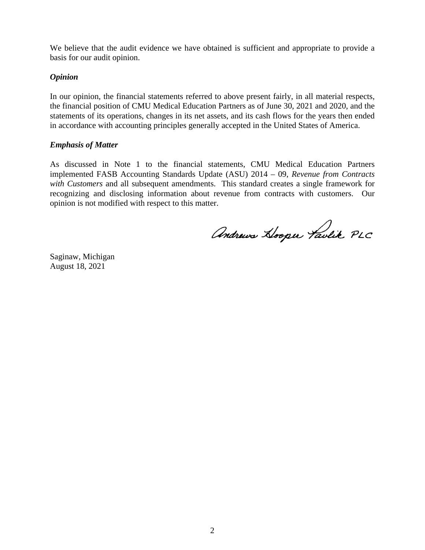We believe that the audit evidence we have obtained is sufficient and appropriate to provide a basis for our audit opinion.

### *Opinion*

In our opinion, the financial statements referred to above present fairly, in all material respects, the financial position of CMU Medical Education Partners as of June 30, 2021 and 2020, and the statements of its operations, changes in its net assets, and its cash flows for the years then ended in accordance with accounting principles generally accepted in the United States of America.

### *Emphasis of Matter*

As discussed in Note 1 to the financial statements, CMU Medical Education Partners implemented FASB Accounting Standards Update (ASU) 2014 – 09, *Revenue from Contracts with Customers* and all subsequent amendments. This standard creates a single framework for recognizing and disclosing information about revenue from contracts with customers. Our opinion is not modified with respect to this matter.

Andrews Hooper Tavlik PLC

Saginaw, Michigan August 18, 2021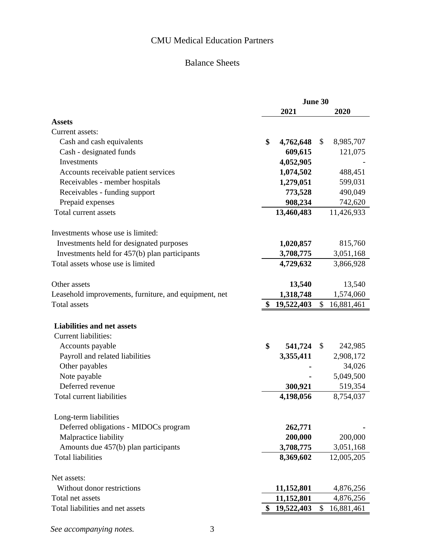# Balance Sheets

|                                                                  | June 30 |                      |               |                      |
|------------------------------------------------------------------|---------|----------------------|---------------|----------------------|
|                                                                  |         | 2021                 |               | 2020                 |
| <b>Assets</b>                                                    |         |                      |               |                      |
| Current assets:                                                  |         |                      |               |                      |
| Cash and cash equivalents                                        | \$      | 4,762,648            | $\mathcal{S}$ | 8,985,707            |
| Cash - designated funds                                          |         | 609,615              |               | 121,075              |
| Investments                                                      |         | 4,052,905            |               |                      |
| Accounts receivable patient services                             |         | 1,074,502            |               | 488,451              |
| Receivables - member hospitals                                   |         | 1,279,051            |               | 599,031              |
| Receivables - funding support                                    |         | 773,528              |               | 490,049              |
| Prepaid expenses                                                 |         | 908,234              |               | 742,620              |
| Total current assets                                             |         | 13,460,483           |               | 11,426,933           |
| Investments whose use is limited:                                |         |                      |               |                      |
| Investments held for designated purposes                         |         | 1,020,857            |               | 815,760              |
| Investments held for 457(b) plan participants                    |         | 3,708,775            |               | 3,051,168            |
| Total assets whose use is limited                                |         | 4,729,632            |               | 3,866,928            |
| Other assets                                                     |         | 13,540               |               | 13,540               |
| Leasehold improvements, furniture, and equipment, net            |         | 1,318,748            |               | 1,574,060            |
| <b>Total assets</b>                                              | \$      | 19,522,403           | \$            | 16,881,461           |
|                                                                  |         |                      |               |                      |
| <b>Liabilities and net assets</b><br><b>Current liabilities:</b> |         |                      |               |                      |
|                                                                  |         |                      |               |                      |
| Accounts payable                                                 | \$      | 541,724              | $\mathbb{S}$  | 242,985              |
| Payroll and related liabilities                                  |         | 3,355,411            |               | 2,908,172<br>34,026  |
| Other payables                                                   |         |                      |               | 5,049,500            |
| Note payable<br>Deferred revenue                                 |         |                      |               |                      |
| Total current liabilities                                        |         | 300,921<br>4,198,056 |               | 519,354<br>8,754,037 |
|                                                                  |         |                      |               |                      |
| Long-term liabilities                                            |         |                      |               |                      |
| Deferred obligations - MIDOCs program                            |         | 262,771              |               |                      |
| Malpractice liability                                            |         | 200,000              |               | 200,000              |
| Amounts due 457(b) plan participants                             |         | 3,708,775            |               | 3,051,168            |
| <b>Total liabilities</b>                                         |         | 8,369,602            |               | 12,005,205           |
| Net assets:                                                      |         |                      |               |                      |
| Without donor restrictions                                       |         | 11,152,801           |               | 4,876,256            |
| Total net assets                                                 |         | 11,152,801           |               | 4,876,256            |
| Total liabilities and net assets                                 |         | \$19,522,403         | $\mathcal{S}$ | 16,881,461           |

*See accompanying notes.* 3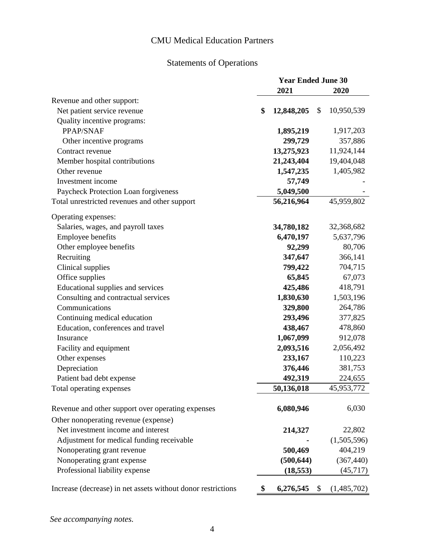# Statements of Operations

|                                                                    | <b>Year Ended June 30</b> |               |             |
|--------------------------------------------------------------------|---------------------------|---------------|-------------|
|                                                                    | 2021                      |               | 2020        |
| Revenue and other support:                                         |                           |               |             |
| Net patient service revenue<br>\$                                  | 12,848,205                | \$            | 10,950,539  |
| Quality incentive programs:                                        |                           |               |             |
| PPAP/SNAF                                                          | 1,895,219                 |               | 1,917,203   |
| Other incentive programs                                           | 299,729                   |               | 357,886     |
| Contract revenue                                                   | 13,275,923                |               | 11,924,144  |
| Member hospital contributions                                      | 21,243,404                |               | 19,404,048  |
| Other revenue                                                      | 1,547,235                 |               | 1,405,982   |
| Investment income                                                  | 57,749                    |               |             |
| Paycheck Protection Loan forgiveness                               | 5,049,500                 |               |             |
| Total unrestricted revenues and other support                      | 56,216,964                |               | 45,959,802  |
| Operating expenses:                                                |                           |               |             |
| Salaries, wages, and payroll taxes                                 | 34,780,182                |               | 32,368,682  |
| <b>Employee benefits</b>                                           | 6,470,197                 |               | 5,637,796   |
| Other employee benefits                                            | 92,299                    |               | 80,706      |
| Recruiting                                                         | 347,647                   |               | 366,141     |
| Clinical supplies                                                  | 799,422                   |               | 704,715     |
| Office supplies                                                    | 65,845                    |               | 67,073      |
| Educational supplies and services                                  | 425,486                   |               | 418,791     |
| Consulting and contractual services                                | 1,830,630                 |               | 1,503,196   |
| Communications                                                     | 329,800                   |               | 264,786     |
| Continuing medical education                                       | 293,496                   |               | 377,825     |
| Education, conferences and travel                                  | 438,467                   |               | 478,860     |
| Insurance                                                          | 1,067,099                 |               | 912,078     |
| Facility and equipment                                             | 2,093,516                 |               | 2,056,492   |
| Other expenses                                                     | 233,167                   |               | 110,223     |
| Depreciation                                                       | 376,446                   |               | 381,753     |
| Patient bad debt expense                                           | 492,319                   |               | 224,655     |
| Total operating expenses                                           | 50,136,018                |               | 45,953,772  |
| Revenue and other support over operating expenses                  | 6,080,946                 |               | 6,030       |
| Other nonoperating revenue (expense)                               |                           |               |             |
| Net investment income and interest                                 | 214,327                   |               | 22,802      |
| Adjustment for medical funding receivable                          |                           |               | (1,505,596) |
| Nonoperating grant revenue                                         | 500,469                   |               | 404,219     |
| Nonoperating grant expense                                         | (500, 644)                |               | (367, 440)  |
| Professional liability expense                                     | (18, 553)                 |               | (45, 717)   |
| Increase (decrease) in net assets without donor restrictions<br>\$ | 6,276,545                 | $\mathcal{S}$ | (1,485,702) |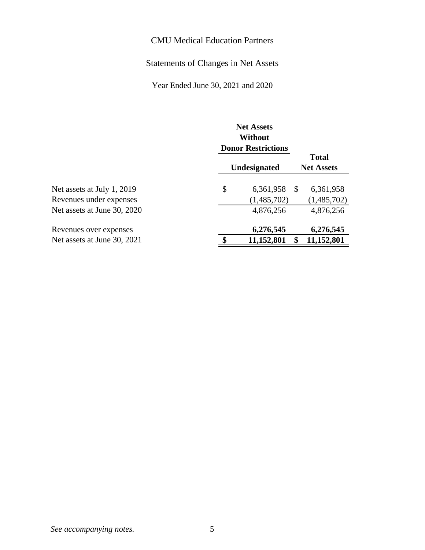Statements of Changes in Net Assets

Year Ended June 30, 2021 and 2020

|                             |    | <b>Net Assets</b><br>Without |                       |
|-----------------------------|----|------------------------------|-----------------------|
|                             |    | <b>Donor Restrictions</b>    | <b>Total</b>          |
|                             |    | Undesignated                 | <b>Net Assets</b>     |
| Net assets at July 1, 2019  | \$ | 6,361,958                    | 6,361,958<br><b>S</b> |
| Revenues under expenses     |    | (1,485,702)                  | (1,485,702)           |
| Net assets at June 30, 2020 |    | 4,876,256                    | 4,876,256             |
| Revenues over expenses      |    | 6,276,545                    | 6,276,545             |
| Net assets at June 30, 2021 | Ф  | 11,152,801                   | 11,152,801            |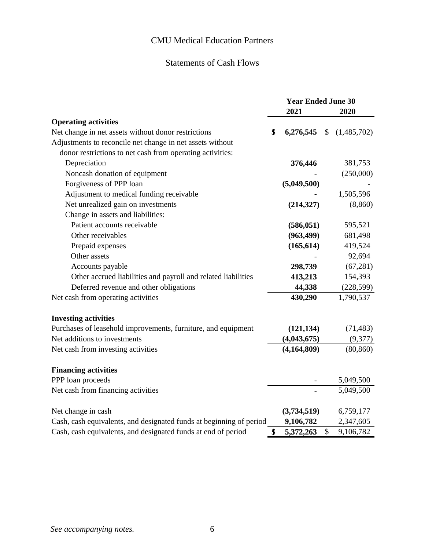## Statements of Cash Flows

|                                                                     | <b>Year Ended June 30</b> |             |                         |             |
|---------------------------------------------------------------------|---------------------------|-------------|-------------------------|-------------|
|                                                                     |                           | 2021        |                         | 2020        |
| <b>Operating activities</b>                                         |                           |             |                         |             |
| Net change in net assets without donor restrictions                 | \$                        | 6,276,545   | $\sqrt[6]{\frac{1}{2}}$ | (1,485,702) |
| Adjustments to reconcile net change in net assets without           |                           |             |                         |             |
| donor restrictions to net cash from operating activities:           |                           |             |                         |             |
| Depreciation                                                        |                           | 376,446     |                         | 381,753     |
| Noncash donation of equipment                                       |                           |             |                         | (250,000)   |
| Forgiveness of PPP loan                                             |                           | (5,049,500) |                         |             |
| Adjustment to medical funding receivable                            |                           |             |                         | 1,505,596   |
| Net unrealized gain on investments                                  |                           | (214, 327)  |                         | (8, 860)    |
| Change in assets and liabilities:                                   |                           |             |                         |             |
| Patient accounts receivable                                         |                           | (586, 051)  |                         | 595,521     |
| Other receivables                                                   |                           | (963, 499)  |                         | 681,498     |
| Prepaid expenses                                                    |                           | (165, 614)  |                         | 419,524     |
| Other assets                                                        |                           |             |                         | 92,694      |
| Accounts payable                                                    |                           | 298,739     |                         | (67, 281)   |
| Other accrued liabilities and payroll and related liabilities       |                           | 413,213     |                         | 154,393     |
| Deferred revenue and other obligations                              |                           | 44,338      |                         | (228, 599)  |
| Net cash from operating activities                                  |                           | 430,290     |                         | 1,790,537   |
| <b>Investing activities</b>                                         |                           |             |                         |             |
| Purchases of leasehold improvements, furniture, and equipment       |                           | (121, 134)  |                         | (71, 483)   |
| Net additions to investments                                        |                           | (4,043,675) |                         | (9,377)     |
| Net cash from investing activities                                  |                           | (4,164,809) |                         | (80, 860)   |
| <b>Financing activities</b>                                         |                           |             |                         |             |
| PPP loan proceeds                                                   |                           |             |                         | 5,049,500   |
| Net cash from financing activities                                  |                           |             |                         | 5,049,500   |
| Net change in cash                                                  |                           | (3,734,519) |                         | 6,759,177   |
| Cash, cash equivalents, and designated funds at beginning of period |                           | 9,106,782   |                         | 2,347,605   |
| Cash, cash equivalents, and designated funds at end of period       | \$                        | 5,372,263   | $\mathcal{S}$           | 9,106,782   |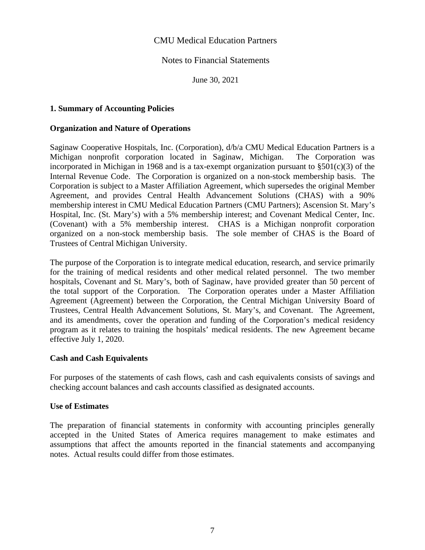### Notes to Financial Statements

June 30, 2021

### **1. Summary of Accounting Policies**

#### **Organization and Nature of Operations**

Saginaw Cooperative Hospitals, Inc. (Corporation), d/b/a CMU Medical Education Partners is a Michigan nonprofit corporation located in Saginaw, Michigan. The Corporation was incorporated in Michigan in 1968 and is a tax-exempt organization pursuant to §501(c)(3) of the Internal Revenue Code. The Corporation is organized on a non-stock membership basis. The Corporation is subject to a Master Affiliation Agreement, which supersedes the original Member Agreement, and provides Central Health Advancement Solutions (CHAS) with a 90% membership interest in CMU Medical Education Partners (CMU Partners); Ascension St. Mary's Hospital, Inc. (St. Mary's) with a 5% membership interest; and Covenant Medical Center, Inc. (Covenant) with a 5% membership interest. CHAS is a Michigan nonprofit corporation organized on a non-stock membership basis. The sole member of CHAS is the Board of Trustees of Central Michigan University.

The purpose of the Corporation is to integrate medical education, research, and service primarily for the training of medical residents and other medical related personnel. The two member hospitals, Covenant and St. Mary's, both of Saginaw, have provided greater than 50 percent of the total support of the Corporation. The Corporation operates under a Master Affiliation Agreement (Agreement) between the Corporation, the Central Michigan University Board of Trustees, Central Health Advancement Solutions, St. Mary's, and Covenant. The Agreement, and its amendments, cover the operation and funding of the Corporation's medical residency program as it relates to training the hospitals' medical residents. The new Agreement became effective July 1, 2020.

### **Cash and Cash Equivalents**

For purposes of the statements of cash flows, cash and cash equivalents consists of savings and checking account balances and cash accounts classified as designated accounts.

#### **Use of Estimates**

The preparation of financial statements in conformity with accounting principles generally accepted in the United States of America requires management to make estimates and assumptions that affect the amounts reported in the financial statements and accompanying notes. Actual results could differ from those estimates.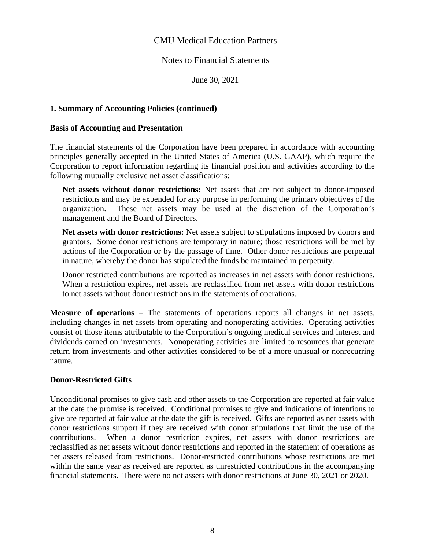### Notes to Financial Statements

June 30, 2021

### **1. Summary of Accounting Policies (continued)**

### **Basis of Accounting and Presentation**

The financial statements of the Corporation have been prepared in accordance with accounting principles generally accepted in the United States of America (U.S. GAAP), which require the Corporation to report information regarding its financial position and activities according to the following mutually exclusive net asset classifications:

**Net assets without donor restrictions:** Net assets that are not subject to donor-imposed restrictions and may be expended for any purpose in performing the primary objectives of the organization. These net assets may be used at the discretion of the Corporation's management and the Board of Directors.

**Net assets with donor restrictions:** Net assets subject to stipulations imposed by donors and grantors. Some donor restrictions are temporary in nature; those restrictions will be met by actions of the Corporation or by the passage of time. Other donor restrictions are perpetual in nature, whereby the donor has stipulated the funds be maintained in perpetuity.

Donor restricted contributions are reported as increases in net assets with donor restrictions. When a restriction expires, net assets are reclassified from net assets with donor restrictions to net assets without donor restrictions in the statements of operations.

**Measure of operations** – The statements of operations reports all changes in net assets, including changes in net assets from operating and nonoperating activities. Operating activities consist of those items attributable to the Corporation's ongoing medical services and interest and dividends earned on investments. Nonoperating activities are limited to resources that generate return from investments and other activities considered to be of a more unusual or nonrecurring nature.

### **Donor-Restricted Gifts**

Unconditional promises to give cash and other assets to the Corporation are reported at fair value at the date the promise is received. Conditional promises to give and indications of intentions to give are reported at fair value at the date the gift is received. Gifts are reported as net assets with donor restrictions support if they are received with donor stipulations that limit the use of the contributions. When a donor restriction expires, net assets with donor restrictions are reclassified as net assets without donor restrictions and reported in the statement of operations as net assets released from restrictions. Donor-restricted contributions whose restrictions are met within the same year as received are reported as unrestricted contributions in the accompanying financial statements. There were no net assets with donor restrictions at June 30, 2021 or 2020.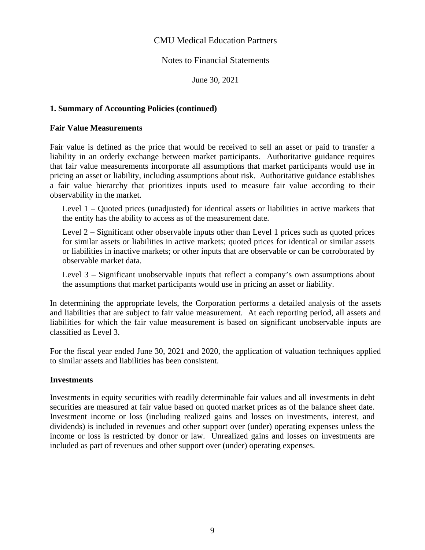### Notes to Financial Statements

June 30, 2021

### **1. Summary of Accounting Policies (continued)**

### **Fair Value Measurements**

Fair value is defined as the price that would be received to sell an asset or paid to transfer a liability in an orderly exchange between market participants. Authoritative guidance requires that fair value measurements incorporate all assumptions that market participants would use in pricing an asset or liability, including assumptions about risk. Authoritative guidance establishes a fair value hierarchy that prioritizes inputs used to measure fair value according to their observability in the market.

Level 1 – Quoted prices (unadjusted) for identical assets or liabilities in active markets that the entity has the ability to access as of the measurement date.

Level 2 – Significant other observable inputs other than Level 1 prices such as quoted prices for similar assets or liabilities in active markets; quoted prices for identical or similar assets or liabilities in inactive markets; or other inputs that are observable or can be corroborated by observable market data.

Level 3 – Significant unobservable inputs that reflect a company's own assumptions about the assumptions that market participants would use in pricing an asset or liability.

In determining the appropriate levels, the Corporation performs a detailed analysis of the assets and liabilities that are subject to fair value measurement. At each reporting period, all assets and liabilities for which the fair value measurement is based on significant unobservable inputs are classified as Level 3.

For the fiscal year ended June 30, 2021 and 2020, the application of valuation techniques applied to similar assets and liabilities has been consistent.

### **Investments**

Investments in equity securities with readily determinable fair values and all investments in debt securities are measured at fair value based on quoted market prices as of the balance sheet date. Investment income or loss (including realized gains and losses on investments, interest, and dividends) is included in revenues and other support over (under) operating expenses unless the income or loss is restricted by donor or law. Unrealized gains and losses on investments are included as part of revenues and other support over (under) operating expenses.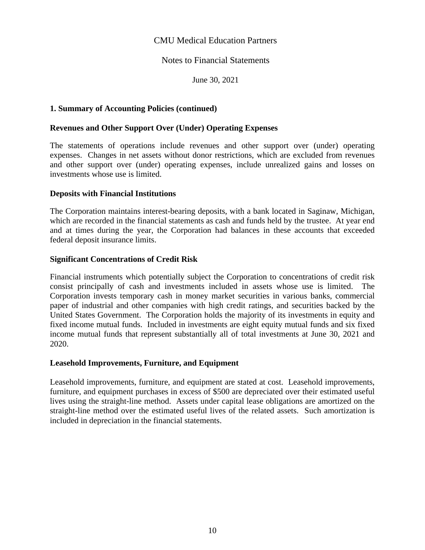### Notes to Financial Statements

June 30, 2021

### **1. Summary of Accounting Policies (continued)**

#### **Revenues and Other Support Over (Under) Operating Expenses**

The statements of operations include revenues and other support over (under) operating expenses. Changes in net assets without donor restrictions, which are excluded from revenues and other support over (under) operating expenses, include unrealized gains and losses on investments whose use is limited.

#### **Deposits with Financial Institutions**

The Corporation maintains interest-bearing deposits, with a bank located in Saginaw, Michigan, which are recorded in the financial statements as cash and funds held by the trustee. At year end and at times during the year, the Corporation had balances in these accounts that exceeded federal deposit insurance limits.

#### **Significant Concentrations of Credit Risk**

Financial instruments which potentially subject the Corporation to concentrations of credit risk consist principally of cash and investments included in assets whose use is limited. The Corporation invests temporary cash in money market securities in various banks, commercial paper of industrial and other companies with high credit ratings, and securities backed by the United States Government. The Corporation holds the majority of its investments in equity and fixed income mutual funds. Included in investments are eight equity mutual funds and six fixed income mutual funds that represent substantially all of total investments at June 30, 2021 and 2020.

### **Leasehold Improvements, Furniture, and Equipment**

Leasehold improvements, furniture, and equipment are stated at cost. Leasehold improvements, furniture, and equipment purchases in excess of \$500 are depreciated over their estimated useful lives using the straight-line method. Assets under capital lease obligations are amortized on the straight-line method over the estimated useful lives of the related assets. Such amortization is included in depreciation in the financial statements.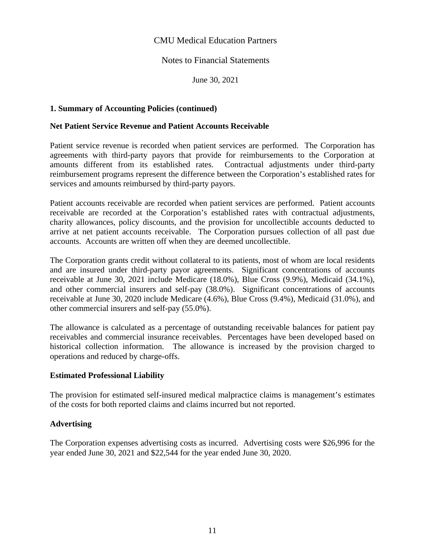### Notes to Financial Statements

June 30, 2021

### **1. Summary of Accounting Policies (continued)**

### **Net Patient Service Revenue and Patient Accounts Receivable**

Patient service revenue is recorded when patient services are performed. The Corporation has agreements with third-party payors that provide for reimbursements to the Corporation at amounts different from its established rates. Contractual adjustments under third-party reimbursement programs represent the difference between the Corporation's established rates for services and amounts reimbursed by third-party payors.

Patient accounts receivable are recorded when patient services are performed. Patient accounts receivable are recorded at the Corporation's established rates with contractual adjustments, charity allowances, policy discounts, and the provision for uncollectible accounts deducted to arrive at net patient accounts receivable. The Corporation pursues collection of all past due accounts. Accounts are written off when they are deemed uncollectible.

The Corporation grants credit without collateral to its patients, most of whom are local residents and are insured under third-party payor agreements. Significant concentrations of accounts receivable at June 30, 2021 include Medicare (18.0%), Blue Cross (9.9%), Medicaid (34.1%), and other commercial insurers and self-pay (38.0%). Significant concentrations of accounts receivable at June 30, 2020 include Medicare (4.6%), Blue Cross (9.4%), Medicaid (31.0%), and other commercial insurers and self-pay (55.0%).

The allowance is calculated as a percentage of outstanding receivable balances for patient pay receivables and commercial insurance receivables. Percentages have been developed based on historical collection information. The allowance is increased by the provision charged to operations and reduced by charge-offs.

### **Estimated Professional Liability**

The provision for estimated self-insured medical malpractice claims is management's estimates of the costs for both reported claims and claims incurred but not reported.

### **Advertising**

The Corporation expenses advertising costs as incurred. Advertising costs were \$26,996 for the year ended June 30, 2021 and \$22,544 for the year ended June 30, 2020.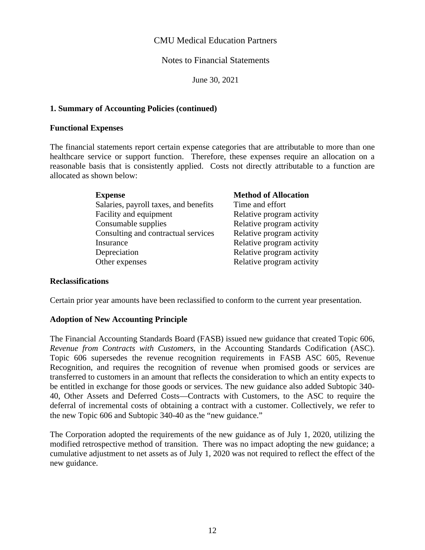### Notes to Financial Statements

June 30, 2021

### **1. Summary of Accounting Policies (continued)**

#### **Functional Expenses**

The financial statements report certain expense categories that are attributable to more than one healthcare service or support function. Therefore, these expenses require an allocation on a reasonable basis that is consistently applied. Costs not directly attributable to a function are allocated as shown below:

| <b>Expense</b>                        | <b>Method of Allocation</b> |
|---------------------------------------|-----------------------------|
| Salaries, payroll taxes, and benefits | Time and effort             |
| Facility and equipment                | Relative program activity   |
| Consumable supplies                   | Relative program activity   |
| Consulting and contractual services   | Relative program activity   |
| Insurance                             | Relative program activity   |
| Depreciation                          | Relative program activity   |
| Other expenses                        | Relative program activity   |

#### **Reclassifications**

Certain prior year amounts have been reclassified to conform to the current year presentation.

### **Adoption of New Accounting Principle**

The Financial Accounting Standards Board (FASB) issued new guidance that created Topic 606, *Revenue from Contracts with Customers*, in the Accounting Standards Codification (ASC). Topic 606 supersedes the revenue recognition requirements in FASB ASC 605, Revenue Recognition, and requires the recognition of revenue when promised goods or services are transferred to customers in an amount that reflects the consideration to which an entity expects to be entitled in exchange for those goods or services. The new guidance also added Subtopic 340- 40, Other Assets and Deferred Costs—Contracts with Customers, to the ASC to require the deferral of incremental costs of obtaining a contract with a customer. Collectively, we refer to the new Topic 606 and Subtopic 340-40 as the "new guidance."

The Corporation adopted the requirements of the new guidance as of July 1, 2020, utilizing the modified retrospective method of transition. There was no impact adopting the new guidance; a cumulative adjustment to net assets as of July 1, 2020 was not required to reflect the effect of the new guidance.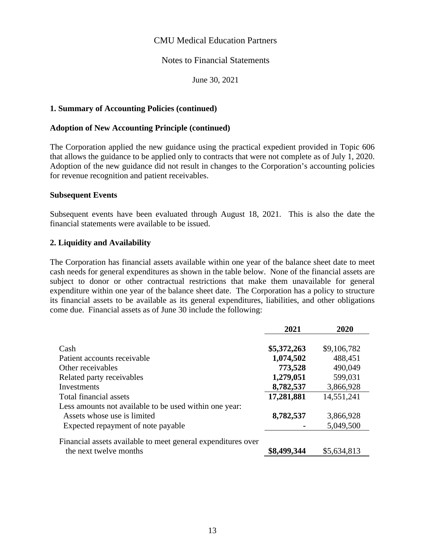### Notes to Financial Statements

June 30, 2021

### **1. Summary of Accounting Policies (continued)**

#### **Adoption of New Accounting Principle (continued)**

The Corporation applied the new guidance using the practical expedient provided in Topic 606 that allows the guidance to be applied only to contracts that were not complete as of July 1, 2020. Adoption of the new guidance did not result in changes to the Corporation's accounting policies for revenue recognition and patient receivables.

#### **Subsequent Events**

Subsequent events have been evaluated through August 18, 2021. This is also the date the financial statements were available to be issued.

### **2. Liquidity and Availability**

The Corporation has financial assets available within one year of the balance sheet date to meet cash needs for general expenditures as shown in the table below. None of the financial assets are subject to donor or other contractual restrictions that make them unavailable for general expenditure within one year of the balance sheet date. The Corporation has a policy to structure its financial assets to be available as its general expenditures, liabilities, and other obligations come due. Financial assets as of June 30 include the following:

| 2021        | 2020        |
|-------------|-------------|
|             |             |
| \$5,372,263 | \$9,106,782 |
| 1,074,502   | 488,451     |
| 773,528     | 490,049     |
| 1,279,051   | 599,031     |
| 8,782,537   | 3,866,928   |
| 17,281,881  | 14,551,241  |
|             |             |
| 8,782,537   | 3,866,928   |
|             | 5,049,500   |
|             |             |
| \$8,499,344 | \$5,634,813 |
|             |             |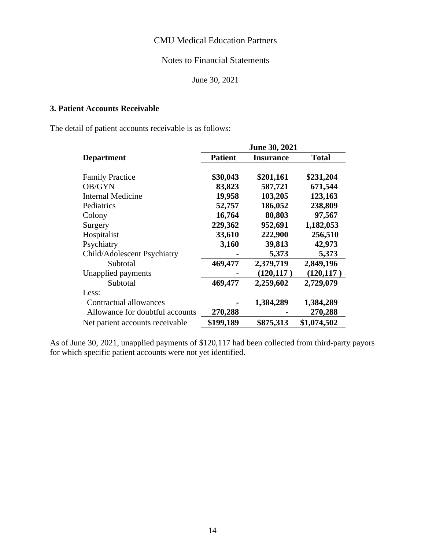### Notes to Financial Statements

June 30, 2021

### **3. Patient Accounts Receivable**

The detail of patient accounts receivable is as follows:

|                                  | June 30, 2021  |                  |              |  |
|----------------------------------|----------------|------------------|--------------|--|
| <b>Department</b>                | <b>Patient</b> | <b>Insurance</b> | <b>Total</b> |  |
|                                  |                |                  |              |  |
| <b>Family Practice</b>           | \$30,043       | \$201,161        | \$231,204    |  |
| <b>OB/GYN</b>                    | 83,823         | 587,721          | 671,544      |  |
| <b>Internal Medicine</b>         | 19,958         | 103,205          | 123,163      |  |
| Pediatrics                       | 52,757         | 186,052          | 238,809      |  |
| Colony                           | 16,764         | 80,803           | 97,567       |  |
| Surgery                          | 229,362        | 952,691          | 1,182,053    |  |
| Hospitalist                      | 33,610         | 222,900          | 256,510      |  |
| Psychiatry                       | 3,160          | 39,813           | 42,973       |  |
| Child/Adolescent Psychiatry      |                | 5,373            | 5,373        |  |
| Subtotal                         | 469,477        | 2,379,719        | 2,849,196    |  |
| Unapplied payments               |                | (120, 117)       | (120, 117)   |  |
| Subtotal                         | 469,477        | 2,259,602        | 2,729,079    |  |
| Less:                            |                |                  |              |  |
| Contractual allowances           |                | 1,384,289        | 1,384,289    |  |
| Allowance for doubtful accounts  | 270,288        |                  | 270,288      |  |
| Net patient accounts receivable. | \$199,189      | \$875,313        | \$1,074,502  |  |

As of June 30, 2021, unapplied payments of \$120,117 had been collected from third-party payors for which specific patient accounts were not yet identified.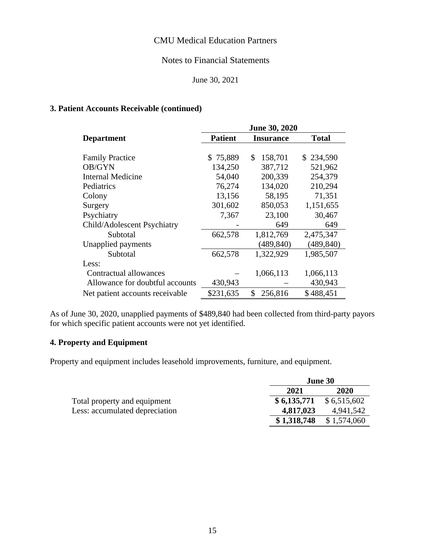### Notes to Financial Statements

June 30, 2021

### **3. Patient Accounts Receivable (continued)**

|                                 | <b>June 30, 2020</b> |                  |              |  |  |
|---------------------------------|----------------------|------------------|--------------|--|--|
| <b>Department</b>               | <b>Patient</b>       | <b>Insurance</b> | <b>Total</b> |  |  |
|                                 |                      |                  |              |  |  |
| <b>Family Practice</b>          | 75,889<br>\$         | \$<br>158,701    | \$234,590    |  |  |
| <b>OB/GYN</b>                   | 134,250              | 387,712          | 521,962      |  |  |
| <b>Internal Medicine</b>        | 54,040               | 200,339          | 254,379      |  |  |
| Pediatrics                      | 76,274               | 134,020          | 210,294      |  |  |
| Colony                          | 13,156               | 58,195           | 71,351       |  |  |
| Surgery                         | 301,602              | 850,053          | 1,151,655    |  |  |
| Psychiatry                      | 7,367                | 23,100           | 30,467       |  |  |
| Child/Adolescent Psychiatry     |                      | 649              | 649          |  |  |
| Subtotal                        | 662,578              | 1,812,769        | 2,475,347    |  |  |
| Unapplied payments              |                      | (489, 840)       | (489, 840)   |  |  |
| Subtotal                        | 662,578              | 1,322,929        | 1,985,507    |  |  |
| Less:                           |                      |                  |              |  |  |
| Contractual allowances          |                      | 1,066,113        | 1,066,113    |  |  |
| Allowance for doubtful accounts | 430,943              |                  | 430,943      |  |  |
| Net patient accounts receivable | \$231,635            | \$<br>256,816    | \$488,451    |  |  |

As of June 30, 2020, unapplied payments of \$489,840 had been collected from third-party payors for which specific patient accounts were not yet identified.

### **4. Property and Equipment**

Property and equipment includes leasehold improvements, furniture, and equipment.

|                                | <b>June 30</b> |             |  |
|--------------------------------|----------------|-------------|--|
|                                | 2021           | 2020        |  |
| Total property and equipment   | \$6,135,771    | \$6,515,602 |  |
| Less: accumulated depreciation | 4,817,023      | 4,941,542   |  |
|                                | \$1,318,748    | \$1,574,060 |  |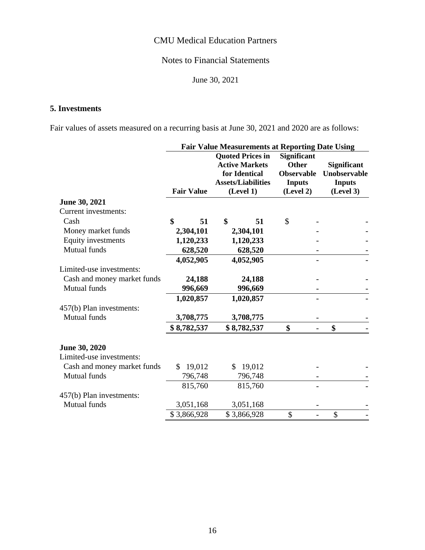### Notes to Financial Statements

June 30, 2021

### **5. Investments**

Fair values of assets measured on a recurring basis at June 30, 2021 and 2020 are as follows:

|                             | <b>Fair Value Measurements at Reporting Date Using</b> |           |    |                           |                    |                     |
|-----------------------------|--------------------------------------------------------|-----------|----|---------------------------|--------------------|---------------------|
|                             |                                                        |           |    | <b>Quoted Prices in</b>   | <b>Significant</b> |                     |
|                             |                                                        |           |    | <b>Active Markets</b>     | <b>Other</b>       | <b>Significant</b>  |
|                             |                                                        |           |    | for Identical             | <b>Observable</b>  | <b>Unobservable</b> |
|                             |                                                        |           |    | <b>Assets/Liabilities</b> | <b>Inputs</b>      | <b>Inputs</b>       |
|                             | <b>Fair Value</b>                                      |           |    | (Level 1)                 | (Level 2)          | (Level 3)           |
| June 30, 2021               |                                                        |           |    |                           |                    |                     |
| Current investments:        |                                                        |           |    |                           |                    |                     |
| Cash                        | \$                                                     | 51        | \$ | 51                        | $\mathcal{S}$      |                     |
| Money market funds          |                                                        | 2,304,101 |    | 2,304,101                 |                    |                     |
| Equity investments          |                                                        | 1,120,233 |    | 1,120,233                 |                    |                     |
| Mutual funds                |                                                        | 628,520   |    | 628,520                   |                    |                     |
|                             |                                                        | 4,052,905 |    | 4,052,905                 |                    |                     |
| Limited-use investments:    |                                                        |           |    |                           |                    |                     |
| Cash and money market funds |                                                        | 24,188    |    | 24,188                    |                    |                     |
| Mutual funds                |                                                        | 996,669   |    | 996,669                   |                    |                     |
|                             |                                                        | 1,020,857 |    | 1,020,857                 |                    |                     |
| 457(b) Plan investments:    |                                                        |           |    |                           |                    |                     |
| Mutual funds                |                                                        | 3,708,775 |    | 3,708,775                 |                    |                     |
|                             | \$8,782,537                                            |           |    | \$8,782,537               | \$                 | \$                  |
| <b>June 30, 2020</b>        |                                                        |           |    |                           |                    |                     |
| Limited-use investments:    |                                                        |           |    |                           |                    |                     |
| Cash and money market funds | $\mathbb{S}$                                           | 19,012    | \$ | 19,012                    |                    |                     |
| Mutual funds                |                                                        | 796,748   |    | 796,748                   |                    |                     |
|                             |                                                        | 815,760   |    | 815,760                   |                    |                     |
| 457(b) Plan investments:    |                                                        |           |    |                           |                    |                     |
| Mutual funds                |                                                        | 3,051,168 |    | 3,051,168                 |                    |                     |
|                             | \$3,866,928                                            |           |    | \$3,866,928               | \$                 | \$                  |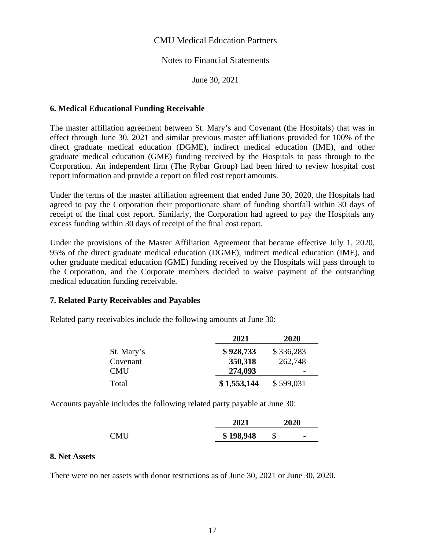### Notes to Financial Statements

June 30, 2021

### **6. Medical Educational Funding Receivable**

The master affiliation agreement between St. Mary's and Covenant (the Hospitals) that was in effect through June 30, 2021 and similar previous master affiliations provided for 100% of the direct graduate medical education (DGME), indirect medical education (IME), and other graduate medical education (GME) funding received by the Hospitals to pass through to the Corporation. An independent firm (The Rybar Group) had been hired to review hospital cost report information and provide a report on filed cost report amounts.

Under the terms of the master affiliation agreement that ended June 30, 2020, the Hospitals had agreed to pay the Corporation their proportionate share of funding shortfall within 30 days of receipt of the final cost report. Similarly, the Corporation had agreed to pay the Hospitals any excess funding within 30 days of receipt of the final cost report.

Under the provisions of the Master Affiliation Agreement that became effective July 1, 2020, 95% of the direct graduate medical education (DGME), indirect medical education (IME), and other graduate medical education (GME) funding received by the Hospitals will pass through to the Corporation, and the Corporate members decided to waive payment of the outstanding medical education funding receivable.

### **7. Related Party Receivables and Payables**

Related party receivables include the following amounts at June 30:

|            | 2021        | 2020                     |
|------------|-------------|--------------------------|
| St. Mary's | \$928,733   | \$336,283                |
| Covenant   | 350,318     | 262,748                  |
| <b>CMU</b> | 274,093     | $\overline{\phantom{0}}$ |
| Total      | \$1,553,144 | \$599,031                |

Accounts payable includes the following related party payable at June 30:

|            | <b>2021</b> | 2020 |                          |
|------------|-------------|------|--------------------------|
| <b>CMU</b> | \$198,948   | ۰D   | $\overline{\phantom{m}}$ |

#### **8. Net Assets**

There were no net assets with donor restrictions as of June 30, 2021 or June 30, 2020.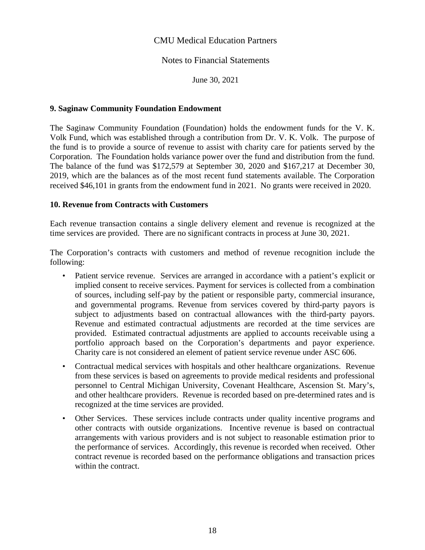### Notes to Financial Statements

June 30, 2021

### **9. Saginaw Community Foundation Endowment**

The Saginaw Community Foundation (Foundation) holds the endowment funds for the V. K. Volk Fund, which was established through a contribution from Dr. V. K. Volk. The purpose of the fund is to provide a source of revenue to assist with charity care for patients served by the Corporation. The Foundation holds variance power over the fund and distribution from the fund. The balance of the fund was \$172,579 at September 30, 2020 and \$167,217 at December 30, 2019, which are the balances as of the most recent fund statements available. The Corporation received \$46,101 in grants from the endowment fund in 2021. No grants were received in 2020.

### **10. Revenue from Contracts with Customers**

Each revenue transaction contains a single delivery element and revenue is recognized at the time services are provided. There are no significant contracts in process at June 30, 2021.

The Corporation's contracts with customers and method of revenue recognition include the following:

- Patient service revenue. Services are arranged in accordance with a patient's explicit or implied consent to receive services. Payment for services is collected from a combination of sources, including self-pay by the patient or responsible party, commercial insurance, and governmental programs. Revenue from services covered by third-party payors is subject to adjustments based on contractual allowances with the third-party payors. Revenue and estimated contractual adjustments are recorded at the time services are provided. Estimated contractual adjustments are applied to accounts receivable using a portfolio approach based on the Corporation's departments and payor experience. Charity care is not considered an element of patient service revenue under ASC 606.
- Contractual medical services with hospitals and other healthcare organizations. Revenue from these services is based on agreements to provide medical residents and professional personnel to Central Michigan University, Covenant Healthcare, Ascension St. Mary's, and other healthcare providers. Revenue is recorded based on pre-determined rates and is recognized at the time services are provided.
- Other Services. These services include contracts under quality incentive programs and other contracts with outside organizations. Incentive revenue is based on contractual arrangements with various providers and is not subject to reasonable estimation prior to the performance of services. Accordingly, this revenue is recorded when received. Other contract revenue is recorded based on the performance obligations and transaction prices within the contract.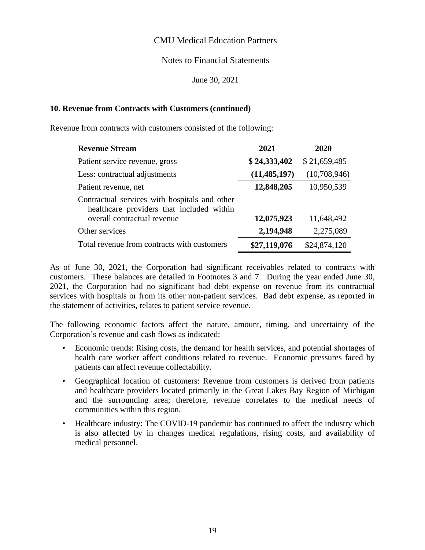### Notes to Financial Statements

June 30, 2021

### **10. Revenue from Contracts with Customers (continued)**

Revenue from contracts with customers consisted of the following:

| <b>Revenue Stream</b>                                                                      | 2021           | 2020         |
|--------------------------------------------------------------------------------------------|----------------|--------------|
| Patient service revenue, gross                                                             | \$24,333,402   | \$21,659,485 |
| Less: contractual adjustments                                                              | (11, 485, 197) | (10,708,946) |
| Patient revenue, net                                                                       | 12,848,205     | 10,950,539   |
| Contractual services with hospitals and other<br>healthcare providers that included within |                |              |
| overall contractual revenue                                                                | 12,075,923     | 11,648,492   |
| Other services                                                                             | 2,194,948      | 2,275,089    |
| Total revenue from contracts with customers                                                | \$27,119,076   | \$24,874,120 |

As of June 30, 2021, the Corporation had significant receivables related to contracts with customers. These balances are detailed in Footnotes 3 and 7. During the year ended June 30, 2021, the Corporation had no significant bad debt expense on revenue from its contractual services with hospitals or from its other non-patient services. Bad debt expense, as reported in the statement of activities, relates to patient service revenue.

The following economic factors affect the nature, amount, timing, and uncertainty of the Corporation's revenue and cash flows as indicated:

- Economic trends: Rising costs, the demand for health services, and potential shortages of health care worker affect conditions related to revenue. Economic pressures faced by patients can affect revenue collectability.
- Geographical location of customers: Revenue from customers is derived from patients and healthcare providers located primarily in the Great Lakes Bay Region of Michigan and the surrounding area; therefore, revenue correlates to the medical needs of communities within this region.
- Healthcare industry: The COVID-19 pandemic has continued to affect the industry which is also affected by in changes medical regulations, rising costs, and availability of medical personnel.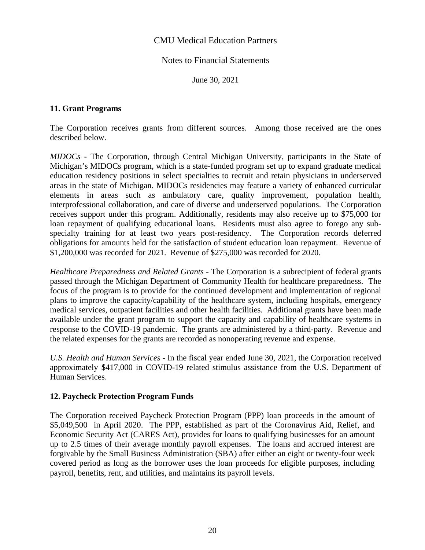### Notes to Financial Statements

June 30, 2021

### **11. Grant Programs**

The Corporation receives grants from different sources. Among those received are the ones described below.

*MIDOCs -* The Corporation, through Central Michigan University, participants in the State of Michigan's MIDOCs program, which is a state-funded program set up to expand graduate medical education residency positions in select specialties to recruit and retain physicians in underserved areas in the state of Michigan. MIDOCs residencies may feature a variety of enhanced curricular elements in areas such as ambulatory care, quality improvement, population health, interprofessional collaboration, and care of diverse and underserved populations. The Corporation receives support under this program. Additionally, residents may also receive up to \$75,000 for loan repayment of qualifying educational loans. Residents must also agree to forego any subspecialty training for at least two years post-residency. The Corporation records deferred obligations for amounts held for the satisfaction of student education loan repayment. Revenue of \$1,200,000 was recorded for 2021. Revenue of \$275,000 was recorded for 2020.

*Healthcare Preparedness and Related Grants -* The Corporation is a subrecipient of federal grants passed through the Michigan Department of Community Health for healthcare preparedness. The focus of the program is to provide for the continued development and implementation of regional plans to improve the capacity/capability of the healthcare system, including hospitals, emergency medical services, outpatient facilities and other health facilities. Additional grants have been made available under the grant program to support the capacity and capability of healthcare systems in response to the COVID-19 pandemic. The grants are administered by a third-party. Revenue and the related expenses for the grants are recorded as nonoperating revenue and expense.

*U.S. Health and Human Services -* In the fiscal year ended June 30, 2021, the Corporation received approximately \$417,000 in COVID-19 related stimulus assistance from the U.S. Department of Human Services.

### **12. Paycheck Protection Program Funds**

The Corporation received Paycheck Protection Program (PPP) loan proceeds in the amount of \$5,049,500 in April 2020. The PPP, established as part of the Coronavirus Aid, Relief, and Economic Security Act (CARES Act), provides for loans to qualifying businesses for an amount up to 2.5 times of their average monthly payroll expenses. The loans and accrued interest are forgivable by the Small Business Administration (SBA) after either an eight or twenty-four week covered period as long as the borrower uses the loan proceeds for eligible purposes, including payroll, benefits, rent, and utilities, and maintains its payroll levels.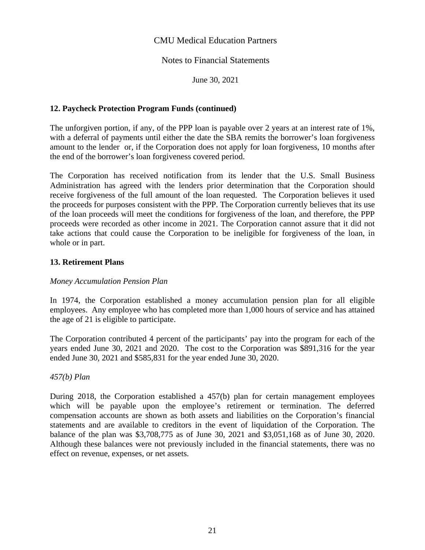### Notes to Financial Statements

June 30, 2021

### **12. Paycheck Protection Program Funds (continued)**

The unforgiven portion, if any, of the PPP loan is payable over 2 years at an interest rate of 1%, with a deferral of payments until either the date the SBA remits the borrower's loan forgiveness amount to the lender or, if the Corporation does not apply for loan forgiveness, 10 months after the end of the borrower's loan forgiveness covered period.

The Corporation has received notification from its lender that the U.S. Small Business Administration has agreed with the lenders prior determination that the Corporation should receive forgiveness of the full amount of the loan requested. The Corporation believes it used the proceeds for purposes consistent with the PPP. The Corporation currently believes that its use of the loan proceeds will meet the conditions for forgiveness of the loan, and therefore, the PPP proceeds were recorded as other income in 2021. The Corporation cannot assure that it did not take actions that could cause the Corporation to be ineligible for forgiveness of the loan, in whole or in part.

### **13. Retirement Plans**

### *Money Accumulation Pension Plan*

In 1974, the Corporation established a money accumulation pension plan for all eligible employees. Any employee who has completed more than 1,000 hours of service and has attained the age of 21 is eligible to participate.

The Corporation contributed 4 percent of the participants' pay into the program for each of the years ended June 30, 2021 and 2020. The cost to the Corporation was \$891,316 for the year ended June 30, 2021 and \$585,831 for the year ended June 30, 2020.

### *457(b) Plan*

During 2018, the Corporation established a 457(b) plan for certain management employees which will be payable upon the employee's retirement or termination. The deferred compensation accounts are shown as both assets and liabilities on the Corporation's financial statements and are available to creditors in the event of liquidation of the Corporation. The balance of the plan was \$3,708,775 as of June 30, 2021 and \$3,051,168 as of June 30, 2020. Although these balances were not previously included in the financial statements, there was no effect on revenue, expenses, or net assets.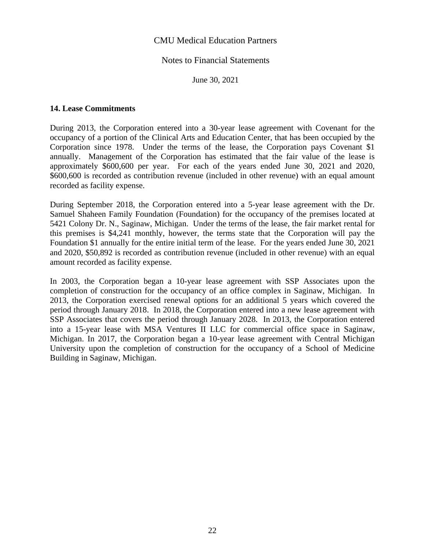### Notes to Financial Statements

June 30, 2021

### **14. Lease Commitments**

During 2013, the Corporation entered into a 30-year lease agreement with Covenant for the occupancy of a portion of the Clinical Arts and Education Center, that has been occupied by the Corporation since 1978. Under the terms of the lease, the Corporation pays Covenant \$1 annually. Management of the Corporation has estimated that the fair value of the lease is approximately \$600,600 per year. For each of the years ended June 30, 2021 and 2020, \$600,600 is recorded as contribution revenue (included in other revenue) with an equal amount recorded as facility expense.

During September 2018, the Corporation entered into a 5-year lease agreement with the Dr. Samuel Shaheen Family Foundation (Foundation) for the occupancy of the premises located at 5421 Colony Dr. N., Saginaw, Michigan. Under the terms of the lease, the fair market rental for this premises is \$4,241 monthly, however, the terms state that the Corporation will pay the Foundation \$1 annually for the entire initial term of the lease. For the years ended June 30, 2021 and 2020, \$50,892 is recorded as contribution revenue (included in other revenue) with an equal amount recorded as facility expense.

In 2003, the Corporation began a 10-year lease agreement with SSP Associates upon the completion of construction for the occupancy of an office complex in Saginaw, Michigan. In 2013, the Corporation exercised renewal options for an additional 5 years which covered the period through January 2018. In 2018, the Corporation entered into a new lease agreement with SSP Associates that covers the period through January 2028. In 2013, the Corporation entered into a 15-year lease with MSA Ventures II LLC for commercial office space in Saginaw, Michigan. In 2017, the Corporation began a 10-year lease agreement with Central Michigan University upon the completion of construction for the occupancy of a School of Medicine Building in Saginaw, Michigan.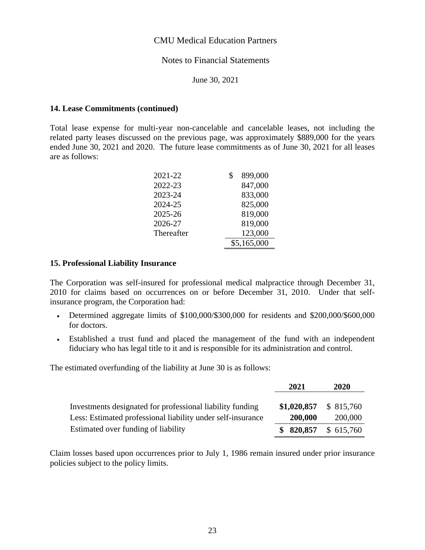#### Notes to Financial Statements

June 30, 2021

#### **14. Lease Commitments (continued)**

Total lease expense for multi-year non-cancelable and cancelable leases, not including the related party leases discussed on the previous page, was approximately \$889,000 for the years ended June 30, 2021 and 2020. The future lease commitments as of June 30, 2021 for all leases are as follows:

| 2021-22    | 899,000     |
|------------|-------------|
| 2022-23    | 847,000     |
| 2023-24    | 833,000     |
| 2024-25    | 825,000     |
| 2025-26    | 819,000     |
| 2026-27    | 819,000     |
| Thereafter | 123,000     |
|            | \$5,165,000 |

#### **15. Professional Liability Insurance**

The Corporation was self-insured for professional medical malpractice through December 31, 2010 for claims based on occurrences on or before December 31, 2010. Under that selfinsurance program, the Corporation had:

- Determined aggregate limits of \$100,000/\$300,000 for residents and \$200,000/\$600,000 for doctors.
- Established a trust fund and placed the management of the fund with an independent fiduciary who has legal title to it and is responsible for its administration and control.

The estimated overfunding of the liability at June 30 is as follows:

|                                                             | 2021        | 2020       |
|-------------------------------------------------------------|-------------|------------|
|                                                             |             |            |
| Investments designated for professional liability funding   | \$1,020,857 | \$ 815,760 |
| Less: Estimated professional liability under self-insurance | 200,000     | 200,000    |
| Estimated over funding of liability                         | \$820,857   | \$615,760  |

Claim losses based upon occurrences prior to July 1, 1986 remain insured under prior insurance policies subject to the policy limits.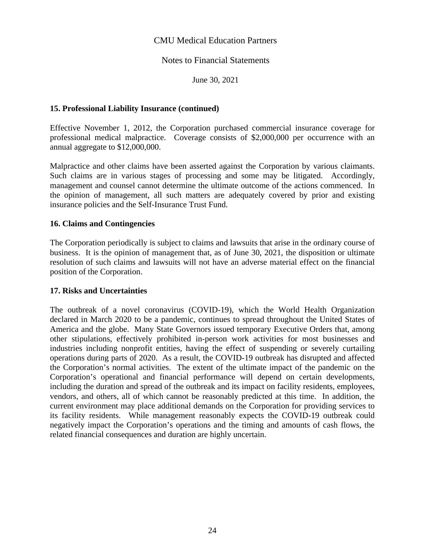### Notes to Financial Statements

June 30, 2021

### **15. Professional Liability Insurance (continued)**

Effective November 1, 2012, the Corporation purchased commercial insurance coverage for professional medical malpractice. Coverage consists of \$2,000,000 per occurrence with an annual aggregate to \$12,000,000.

Malpractice and other claims have been asserted against the Corporation by various claimants. Such claims are in various stages of processing and some may be litigated. Accordingly, management and counsel cannot determine the ultimate outcome of the actions commenced. In the opinion of management, all such matters are adequately covered by prior and existing insurance policies and the Self-Insurance Trust Fund.

### **16. Claims and Contingencies**

The Corporation periodically is subject to claims and lawsuits that arise in the ordinary course of business. It is the opinion of management that, as of June 30, 2021, the disposition or ultimate resolution of such claims and lawsuits will not have an adverse material effect on the financial position of the Corporation.

### **17. Risks and Uncertainties**

The outbreak of a novel coronavirus (COVID-19), which the World Health Organization declared in March 2020 to be a pandemic, continues to spread throughout the United States of America and the globe. Many State Governors issued temporary Executive Orders that, among other stipulations, effectively prohibited in-person work activities for most businesses and industries including nonprofit entities, having the effect of suspending or severely curtailing operations during parts of 2020. As a result, the COVID-19 outbreak has disrupted and affected the Corporation's normal activities. The extent of the ultimate impact of the pandemic on the Corporation's operational and financial performance will depend on certain developments, including the duration and spread of the outbreak and its impact on facility residents, employees, vendors, and others, all of which cannot be reasonably predicted at this time. In addition, the current environment may place additional demands on the Corporation for providing services to its facility residents. While management reasonably expects the COVID-19 outbreak could negatively impact the Corporation's operations and the timing and amounts of cash flows, the related financial consequences and duration are highly uncertain.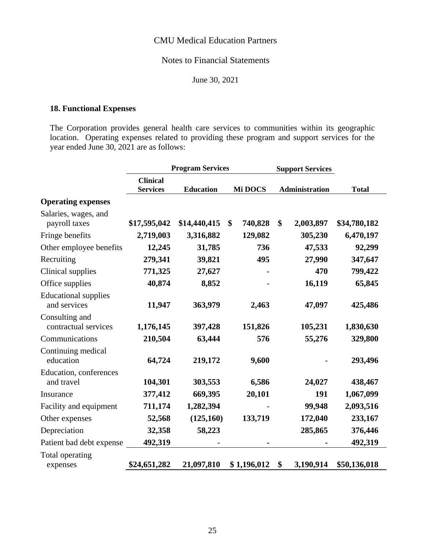### Notes to Financial Statements

June 30, 2021

### **18. Functional Expenses**

The Corporation provides general health care services to communities within its geographic location. Operating expenses related to providing these program and support services for the year ended June 30, 2021 are as follows:

|                                             | <b>Program Services</b> |                  | <b>Support Services</b> |    |                |              |
|---------------------------------------------|-------------------------|------------------|-------------------------|----|----------------|--------------|
|                                             | <b>Clinical</b>         |                  |                         |    |                |              |
|                                             | <b>Services</b>         | <b>Education</b> | Mi DOCS                 |    | Administration | <b>Total</b> |
| <b>Operating expenses</b>                   |                         |                  |                         |    |                |              |
| Salaries, wages, and<br>payroll taxes       | \$17,595,042            | \$14,440,415     | 740,828<br>\$           | \$ | 2,003,897      | \$34,780,182 |
| Fringe benefits                             | 2,719,003               | 3,316,882        | 129,082                 |    | 305,230        | 6,470,197    |
| Other employee benefits                     | 12,245                  | 31,785           | 736                     |    | 47,533         | 92,299       |
| Recruiting                                  | 279,341                 | 39,821           | 495                     |    | 27,990         | 347,647      |
| Clinical supplies                           | 771,325                 | 27,627           |                         |    | 470            | 799,422      |
| Office supplies                             | 40,874                  | 8,852            |                         |    | 16,119         | 65,845       |
| <b>Educational supplies</b><br>and services | 11,947                  | 363,979          | 2,463                   |    | 47,097         | 425,486      |
| Consulting and<br>contractual services      | 1,176,145               | 397,428          | 151,826                 |    | 105,231        | 1,830,630    |
| Communications                              | 210,504                 | 63,444           | 576                     |    | 55,276         | 329,800      |
| Continuing medical<br>education             | 64,724                  | 219,172          | 9,600                   |    |                | 293,496      |
| Education, conferences<br>and travel        | 104,301                 | 303,553          | 6,586                   |    | 24,027         | 438,467      |
| Insurance                                   | 377,412                 | 669,395          | 20,101                  |    | 191            | 1,067,099    |
| Facility and equipment                      | 711,174                 | 1,282,394        |                         |    | 99,948         | 2,093,516    |
| Other expenses                              | 52,568                  | (125, 160)       | 133,719                 |    | 172,040        | 233,167      |
| Depreciation                                | 32,358                  | 58,223           |                         |    | 285,865        | 376,446      |
| Patient bad debt expense                    | 492,319                 |                  |                         |    |                | 492,319      |
| Total operating<br>expenses                 | \$24,651,282            | 21,097,810       | \$1,196,012             | \$ | 3,190,914      | \$50,136,018 |